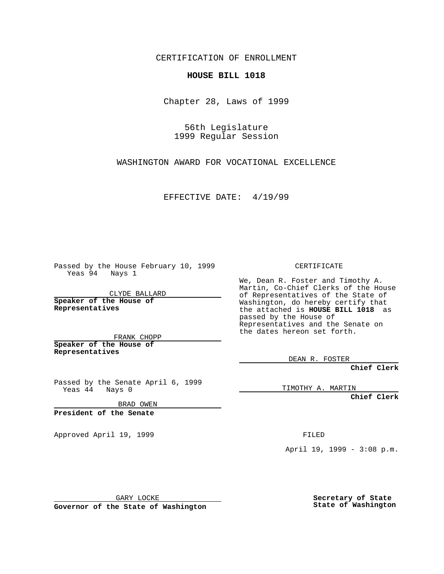CERTIFICATION OF ENROLLMENT

## **HOUSE BILL 1018**

Chapter 28, Laws of 1999

56th Legislature 1999 Regular Session

WASHINGTON AWARD FOR VOCATIONAL EXCELLENCE

EFFECTIVE DATE: 4/19/99

Passed by the House February 10, 1999 Yeas 94 Nays 1

CLYDE BALLARD **Speaker of the House of Representatives**

FRANK CHOPP **Speaker of the House of Representatives**

Passed by the Senate April 6, 1999 Yeas 44 Nays 0

BRAD OWEN

**President of the Senate**

Approved April 19, 1999 **FILED** 

CERTIFICATE

We, Dean R. Foster and Timothy A. Martin, Co-Chief Clerks of the House of Representatives of the State of Washington, do hereby certify that the attached is **HOUSE BILL 1018** as passed by the House of Representatives and the Senate on the dates hereon set forth.

DEAN R. FOSTER

**Chief Clerk**

TIMOTHY A. MARTIN

**Chief Clerk**

April 19, 1999 - 3:08 p.m.

GARY LOCKE

**Governor of the State of Washington**

**Secretary of State State of Washington**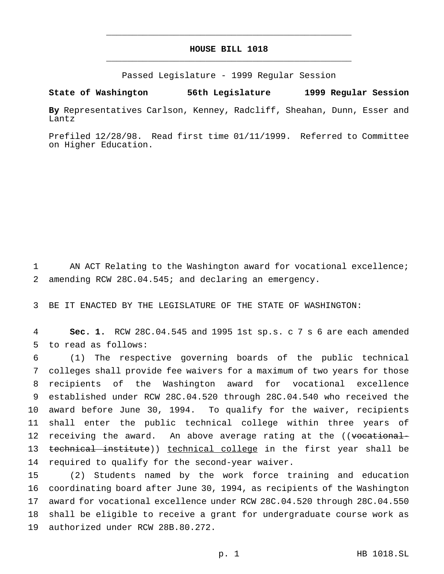## **HOUSE BILL 1018** \_\_\_\_\_\_\_\_\_\_\_\_\_\_\_\_\_\_\_\_\_\_\_\_\_\_\_\_\_\_\_\_\_\_\_\_\_\_\_\_\_\_\_\_\_\_\_

\_\_\_\_\_\_\_\_\_\_\_\_\_\_\_\_\_\_\_\_\_\_\_\_\_\_\_\_\_\_\_\_\_\_\_\_\_\_\_\_\_\_\_\_\_\_\_

Passed Legislature - 1999 Regular Session

**State of Washington 56th Legislature 1999 Regular Session**

**By** Representatives Carlson, Kenney, Radcliff, Sheahan, Dunn, Esser and Lantz

Prefiled 12/28/98. Read first time 01/11/1999. Referred to Committee on Higher Education.

1 AN ACT Relating to the Washington award for vocational excellence; 2 amending RCW 28C.04.545; and declaring an emergency.

3 BE IT ENACTED BY THE LEGISLATURE OF THE STATE OF WASHINGTON:

4 **Sec. 1.** RCW 28C.04.545 and 1995 1st sp.s. c 7 s 6 are each amended 5 to read as follows:

 (1) The respective governing boards of the public technical colleges shall provide fee waivers for a maximum of two years for those recipients of the Washington award for vocational excellence established under RCW 28C.04.520 through 28C.04.540 who received the award before June 30, 1994. To qualify for the waiver, recipients shall enter the public technical college within three years of 12 receiving the award. An above average rating at the ((vocational-13 technical institute)) technical college in the first year shall be required to qualify for the second-year waiver.

 (2) Students named by the work force training and education coordinating board after June 30, 1994, as recipients of the Washington award for vocational excellence under RCW 28C.04.520 through 28C.04.550 shall be eligible to receive a grant for undergraduate course work as authorized under RCW 28B.80.272.